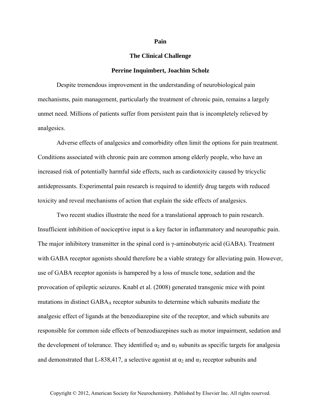## **Pain**

## **The Clinical Challenge**

## **Perrine Inquimbert, Joachim Scholz**

Despite tremendous improvement in the understanding of neurobiological pain mechanisms, pain management, particularly the treatment of chronic pain, remains a largely unmet need. Millions of patients suffer from persistent pain that is incompletely relieved by analgesics.

Adverse effects of analgesics and comorbidity often limit the options for pain treatment. Conditions associated with chronic pain are common among elderly people, who have an increased risk of potentially harmful side effects, such as cardiotoxicity caused by tricyclic antidepressants. Experimental pain research is required to identify drug targets with reduced toxicity and reveal mechanisms of action that explain the side effects of analgesics.

Two recent studies illustrate the need for a translational approach to pain research. Insufficient inhibition of nociceptive input is a key factor in inflammatory and neuropathic pain. The major inhibitory transmitter in the spinal cord is γ-aminobutyric acid (GABA). Treatment with GABA receptor agonists should therefore be a viable strategy for alleviating pain. However, use of GABA receptor agonists is hampered by a loss of muscle tone, sedation and the provocation of epileptic seizures. Knabl et al. (2008) generated transgenic mice with point mutations in distinct  $GABA_A$  receptor subunits to determine which subunits mediate the analgesic effect of ligands at the benzodiazepine site of the receptor, and which subunits are responsible for common side effects of benzodiazepines such as motor impairment, sedation and the development of tolerance. They identified  $\alpha_2$  and  $\alpha_3$  subunits as specific targets for analgesia and demonstrated that L-838,417, a selective agonist at  $\alpha_2$  and  $\alpha_3$  receptor subunits and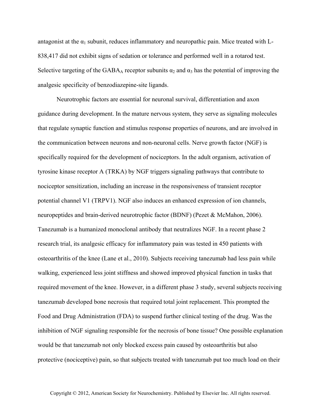antagonist at the  $\alpha_1$  subunit, reduces inflammatory and neuropathic pain. Mice treated with L-838,417 did not exhibit signs of sedation or tolerance and performed well in a rotarod test. Selective targeting of the GABA<sub>A</sub> receptor subunits  $\alpha_2$  and  $\alpha_3$  has the potential of improving the analgesic specificity of benzodiazepine-site ligands.

Neurotrophic factors are essential for neuronal survival, differentiation and axon guidance during development. In the mature nervous system, they serve as signaling molecules that regulate synaptic function and stimulus response properties of neurons, and are involved in the communication between neurons and non-neuronal cells. Nerve growth factor (NGF) is specifically required for the development of nociceptors. In the adult organism, activation of tyrosine kinase receptor A (TRKA) by NGF triggers signaling pathways that contribute to nociceptor sensitization, including an increase in the responsiveness of transient receptor potential channel V1 (TRPV1). NGF also induces an enhanced expression of ion channels, neuropeptides and brain-derived neurotrophic factor (BDNF) (Pezet & McMahon, 2006). Tanezumab is a humanized monoclonal antibody that neutralizes NGF. In a recent phase 2 research trial, its analgesic efficacy for inflammatory pain was tested in 450 patients with osteoarthritis of the knee (Lane et al., 2010). Subjects receiving tanezumab had less pain while walking, experienced less joint stiffness and showed improved physical function in tasks that required movement of the knee. However, in a different phase 3 study, several subjects receiving tanezumab developed bone necrosis that required total joint replacement. This prompted the Food and Drug Administration (FDA) to suspend further clinical testing of the drug. Was the inhibition of NGF signaling responsible for the necrosis of bone tissue? One possible explanation would be that tanezumab not only blocked excess pain caused by osteoarthritis but also protective (nociceptive) pain, so that subjects treated with tanezumab put too much load on their